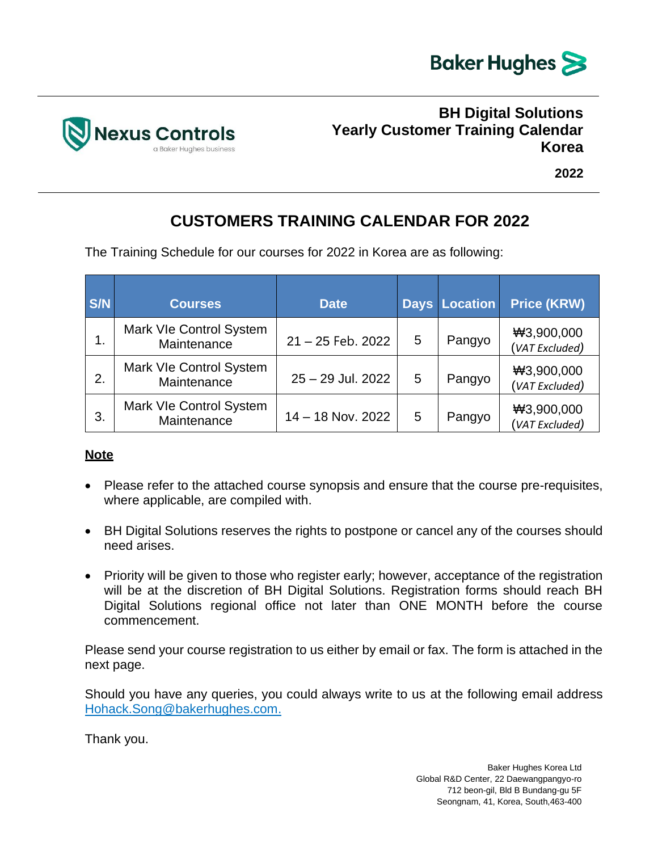



**2022**

## **CUSTOMERS TRAINING CALENDAR FOR 2022**

The Training Schedule for our courses for 2022 in Korea are as following:

| <b>S/N</b> | <b>Courses</b>                         | <b>Date</b>         |   | <b>Days Location</b> | <b>Price (KRW)</b>           |
|------------|----------------------------------------|---------------------|---|----------------------|------------------------------|
| 1.         | Mark VIe Control System<br>Maintenance | $21 - 25$ Feb. 2022 | 5 | Pangyo               | ₩3,900,000<br>(VAT Excluded) |
| 2.         | Mark VIe Control System<br>Maintenance | 25 - 29 Jul. 2022   | 5 | Pangyo               | ₩3,900,000<br>(VAT Excluded) |
| 3.         | Mark VIe Control System<br>Maintenance | $14 - 18$ Nov. 2022 | 5 | Pangyo               | ₩3,900,000<br>(VAT Excluded) |

### **Note**

- Please refer to the attached course synopsis and ensure that the course pre-requisites, where applicable, are compiled with.
- BH Digital Solutions reserves the rights to postpone or cancel any of the courses should need arises.
- Priority will be given to those who register early; however, acceptance of the registration will be at the discretion of BH Digital Solutions. Registration forms should reach BH Digital Solutions regional office not later than ONE MONTH before the course commencement.

Please send your course registration to us either by email or fax. The form is attached in the next page.

Should you have any queries, you could always write to us at the following email address Hohack.Song@bakerhughes.com.

Thank you.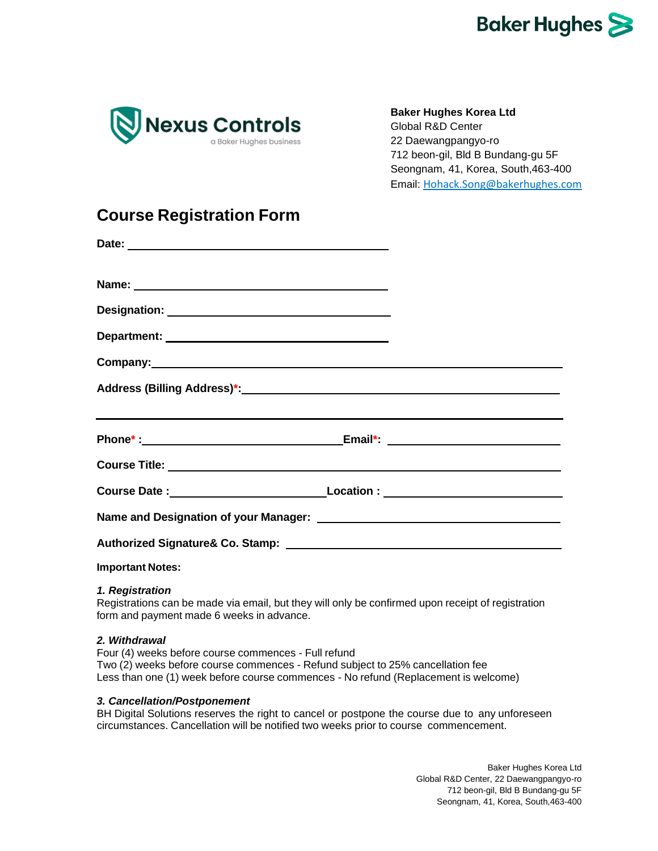

**Baker Hughes Korea Ltd**

Global R&D Center 22 Daewangpangyo-ro 712 beon-gil, Bld B Bundang-gu 5F Seongnam, 41, Korea, South,463-400 Email: Hohack.Song@bakerhughes.com

### **Course Registration Form**

| ,我们也不会有什么。""我们的人,我们也不会有什么?""我们的人,我们也不会有什么?""我们的人,我们也不会有什么?""我们的人,我们也不会有什么?""我们的人                                                                                                                                                     |  |  |  |  |  |  |
|--------------------------------------------------------------------------------------------------------------------------------------------------------------------------------------------------------------------------------------|--|--|--|--|--|--|
|                                                                                                                                                                                                                                      |  |  |  |  |  |  |
|                                                                                                                                                                                                                                      |  |  |  |  |  |  |
|                                                                                                                                                                                                                                      |  |  |  |  |  |  |
|                                                                                                                                                                                                                                      |  |  |  |  |  |  |
|                                                                                                                                                                                                                                      |  |  |  |  |  |  |
| $\blacksquare$ . The contract of the contract of the contract of the contract of the contract of the contract of the contract of the contract of the contract of the contract of the contract of the contract of the contract of the |  |  |  |  |  |  |

### **Important Notes:**

#### *1. Registration*

Registrations can be made via email, but they will only be confirmed upon receipt of registration form and payment made 6 weeks in advance.

#### *2. Withdrawal*

Four (4) weeks before course commences - Full refund Two (2) weeks before course commences - Refund subject to 25% cancellation fee Less than one (1) week before course commences - No refund (Replacement is welcome)

#### *3. Cancellation/Postponement*

BH Digital Solutions reserves the right to cancel or postpone the course due to any unforeseen circumstances. Cancellation will be notified two weeks prior to course commencement.

> Baker Hughes Korea Ltd Global R&D Center, 22 Daewangpangyo-ro 712 beon-gil, Bld B Bundang-gu 5F Seongnam, 41, Korea, South,463-400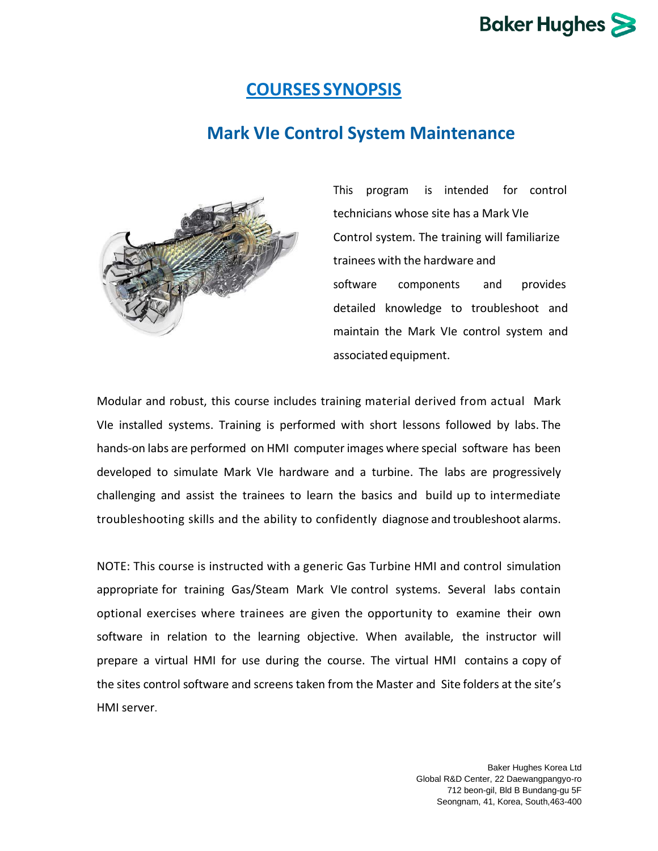### **COURSES SYNOPSIS**

## **Mark VIe Control System Maintenance**



This program is intended for control technicians whose site has a Mark VIe Control system. The training will familiarize trainees with the hardware and software components and provides detailed knowledge to troubleshoot and maintain the Mark VIe control system and associated equipment.

Modular and robust, this course includes training material derived from actual Mark VIe installed systems. Training is performed with short lessons followed by labs. The hands-on labs are performed on HMI computer images where special software has been developed to simulate Mark VIe hardware and a turbine. The labs are progressively challenging and assist the trainees to learn the basics and build up to intermediate troubleshooting skills and the ability to confidently diagnose and troubleshoot alarms.

NOTE: This course is instructed with a generic Gas Turbine HMI and control simulation appropriate for training Gas/Steam Mark VIe control systems. Several labs contain optional exercises where trainees are given the opportunity to examine their own software in relation to the learning objective. When available, the instructor will prepare a virtual HMI for use during the course. The virtual HMI contains a copy of the sites control software and screens taken from the Master and Site folders at the site's HMI server.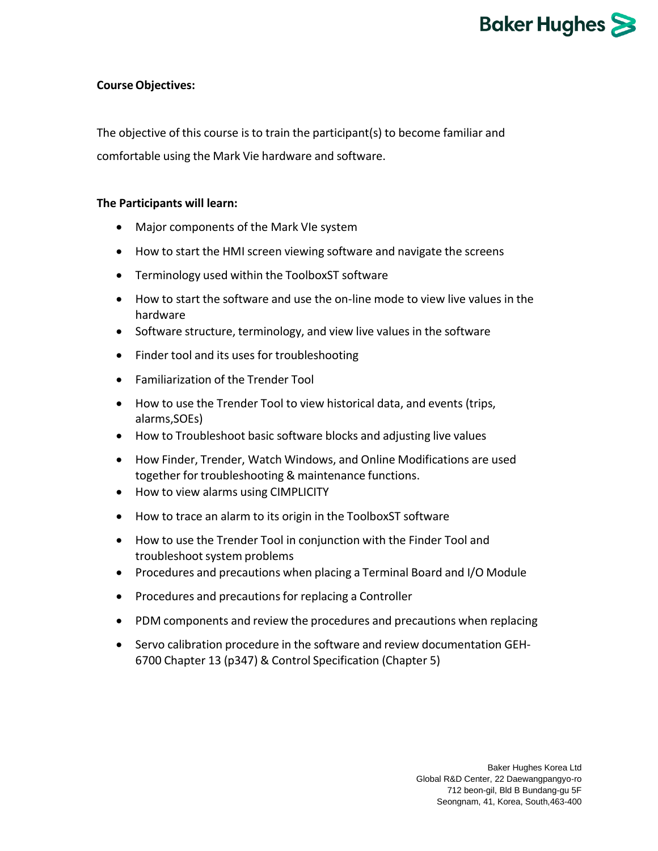# **Baker Hughes**

#### **CourseObjectives:**

The objective of this course is to train the participant(s) to become familiar and comfortable using the Mark Vie hardware and software.

#### **The Participants will learn:**

- Major components of the Mark VIe system
- How to start the HMI screen viewing software and navigate the screens
- Terminology used within the ToolboxST software
- How to start the software and use the on-line mode to view live values in the hardware
- Software structure, terminology, and view live values in the software
- Finder tool and its uses for troubleshooting
- Familiarization of the Trender Tool
- How to use the Trender Tool to view historical data, and events (trips, alarms,SOEs)
- How to Troubleshoot basic software blocks and adjusting live values
- How Finder, Trender, Watch Windows, and Online Modifications are used together for troubleshooting & maintenance functions.
- How to view alarms using CIMPLICITY
- How to trace an alarm to its origin in the ToolboxST software
- How to use the Trender Tool in conjunction with the Finder Tool and troubleshoot system problems
- Procedures and precautions when placing a Terminal Board and I/O Module
- Procedures and precautions for replacing a Controller
- PDM components and review the procedures and precautions when replacing
- Servo calibration procedure in the software and review documentation GEH-6700 Chapter 13 (p347) & Control Specification (Chapter 5)